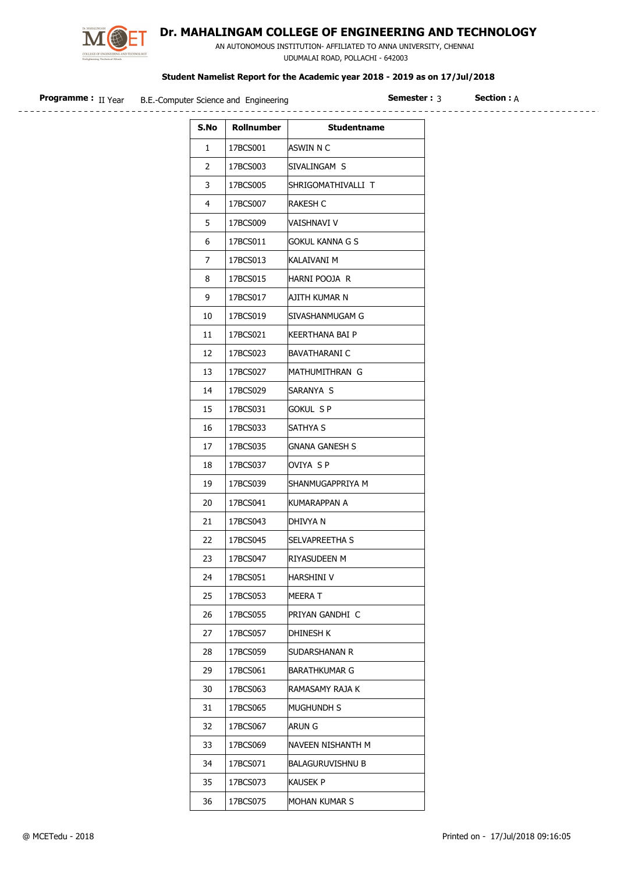

## Dr. MAHALINGAM COLLEGE OF ENGINEERING AND TECHNOLOGY

 AN AUTONOMOUS INSTITUTION- AFFILIATED TO ANNA UNIVERSITY, CHENNAI UDUMALAI ROAD, POLLACHI - 642003

## Student Namelist Report for the Academic year 2018 - 2019 as on 17/Jul/2018

| <b>Programme:</b> II Year B.E.-Computer Science and Engineering |  |                                                    |                  | <b>Semester: 3</b> | <b>Section :</b> A |  |
|-----------------------------------------------------------------|--|----------------------------------------------------|------------------|--------------------|--------------------|--|
|                                                                 |  |                                                    |                  |                    |                    |  |
|                                                                 |  | $C = \begin{bmatrix} 1 & 1 \\ 1 & 1 \end{bmatrix}$ | Characters and a |                    |                    |  |

\_\_\_\_\_\_\_\_\_\_\_\_\_\_\_\_\_\_\_\_\_\_\_\_\_\_\_\_

| S.No | Rollnumber | <b>Studentname</b>    |  |  |
|------|------------|-----------------------|--|--|
| 1    | 17BCS001   | ASWIN N C             |  |  |
| 2    | 17BCS003   | SIVALINGAM S          |  |  |
| 3    | 17BCS005   | SHRIGOMATHIVALLI T    |  |  |
| 4    | 17BCS007   | rakesh C              |  |  |
| 5    | 17BCS009   | VAISHNAVI V           |  |  |
| 6    | 17BCS011   | GOKUL KANNA G S       |  |  |
| 7    | 17BCS013   | KALAIVANI M           |  |  |
| 8    | 17BCS015   | iharni pooja r        |  |  |
| 9    | 17BCS017   | AJITH KUMAR N         |  |  |
| 10   | 17BCS019   | SIVASHANMUGAM G       |  |  |
| 11   | 17BCS021   | KEERTHANA BAI P       |  |  |
| 12   | 17BCS023   | IBAVATHARANI C        |  |  |
| 13   | 17BCS027   | MATHUMITHRAN G        |  |  |
| 14   | 17BCS029   | SARANYA S             |  |  |
| 15   | 17BCS031   | <b>GOKUL SP</b>       |  |  |
| 16   | 17BCS033   | SATHYA S              |  |  |
| 17   | 17BCS035   | <b>GNANA GANESH S</b> |  |  |
| 18   | 17BCS037   | OVIYA S P             |  |  |
| 19   | 17BCS039   | SHANMUGAPPRIYA M      |  |  |
| 20   | 17BCS041   | KUMARAPPAN A          |  |  |
| 21   | 17BCS043   | DHIVYA N              |  |  |
| 22   | 17BCS045   | SELVAPREETHA S        |  |  |
| 23   | 17BCS047   | riyasudeen m          |  |  |
| 24   | 17BCS051   | harshini v            |  |  |
| 25   | 17BCS053   | MEERA T               |  |  |
| 26   | 17BCS055   | PRIYAN GANDHI C       |  |  |
| 27   | 17BCS057   | DHINESH K             |  |  |
| 28   | 17BCS059   | Sudarshanan R         |  |  |
| 29   | 17BCS061   | <b>BARATHKUMAR G</b>  |  |  |
| 30   | 17BCS063   | RAMASAMY RAJA K       |  |  |
| 31   | 17BCS065   | MUGHUNDH S            |  |  |
| 32   | 17BCS067   | arun G                |  |  |
| 33   | 17BCS069   | NAVEEN NISHANTH M     |  |  |
| 34   | 17BCS071   | BALAGURUVISHNU B      |  |  |
| 35   | 17BCS073   | KAUSEK P              |  |  |
| 36   | 17BCS075   | MOHAN KUMAR S         |  |  |